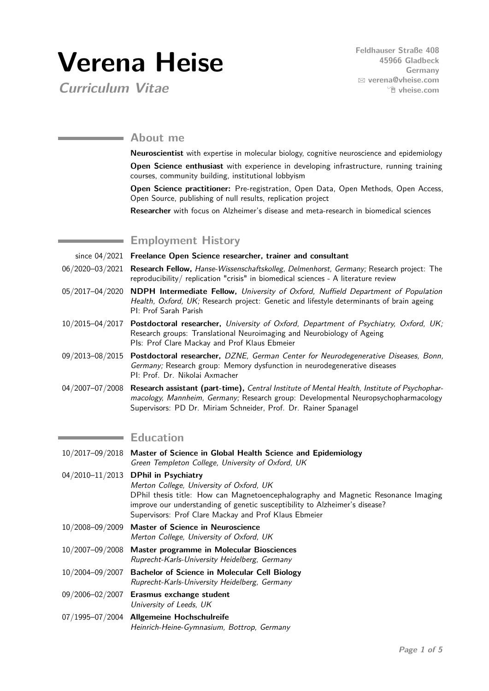# **Verena Heise**

**Curriculum Vitae**

**Feldhauser Straße 408 45966 Gladbeck Germany** B **[verena@vheise.com](mailto:verena@vheise.com)** Í **[vheise.com](http://vheise.com)**

# **About me**

**Neuroscientist** with expertise in molecular biology, cognitive neuroscience and epidemiology **Open Science enthusiast** with experience in developing infrastructure, running training courses, community building, institutional lobbyism

**Open Science practitioner:** Pre-registration, Open Data, Open Methods, Open Access, Open Source, publishing of null results, replication project

**Researcher** with focus on Alzheimer's disease and meta-research in biomedical sciences

# **Employment History**

since 04/2021 **Freelance Open Science researcher, trainer and consultant** 06/2020–03/2021 **Research Fellow,** Hanse-Wissenschaftskolleg, Delmenhorst, Germany; Research project: The

05/2017–04/2020 **NDPH Intermediate Fellow,** University of Oxford, Nuffield Department of Population Health, Oxford, UK; Research project: Genetic and lifestyle determinants of brain ageing PI: Prof Sarah Parish

reproducibility/ replication "crisis" in biomedical sciences - A literature review

- 10/2015–04/2017 **Postdoctoral researcher,** University of Oxford, Department of Psychiatry, Oxford, UK; Research groups: Translational Neuroimaging and Neurobiology of Ageing PIs: Prof Clare Mackay and Prof Klaus Ebmeier
- 09/2013–08/2015 **Postdoctoral researcher,** DZNE, German Center for Neurodegenerative Diseases, Bonn, Germany; Research group: Memory dysfunction in neurodegenerative diseases PI: Prof. Dr. Nikolai Axmacher
- 04/2007–07/2008 **Research assistant (part-time),** Central Institute of Mental Health, Institute of Psychopharmacology, Mannheim, Germany; Research group: Developmental Neuropsychopharmacology Supervisors: PD Dr. Miriam Schneider, Prof. Dr. Rainer Spanagel

## **Education**

|                 | 10/2017-09/2018 Master of Science in Global Health Science and Epidemiology<br>Green Templeton College, University of Oxford, UK                                                                                                                                                                             |
|-----------------|--------------------------------------------------------------------------------------------------------------------------------------------------------------------------------------------------------------------------------------------------------------------------------------------------------------|
|                 | 04/2010-11/2013 DPhil in Psychiatry<br>Merton College, University of Oxford, UK<br>DPhil thesis title: How can Magnetoencephalography and Magnetic Resonance Imaging<br>improve our understanding of genetic susceptibility to Alzheimer's disease?<br>Supervisors: Prof Clare Mackay and Prof Klaus Ebmeier |
|                 | 10/2008-09/2009 Master of Science in Neuroscience<br>Merton College, University of Oxford, UK                                                                                                                                                                                                                |
| 10/2007-09/2008 | Master programme in Molecular Biosciences<br>Ruprecht-Karls-University Heidelberg, Germany                                                                                                                                                                                                                   |
| 10/2004-09/2007 | <b>Bachelor of Science in Molecular Cell Biology</b><br>Ruprecht-Karls-University Heidelberg, Germany                                                                                                                                                                                                        |
|                 | 09/2006-02/2007 Erasmus exchange student<br>University of Leeds, UK                                                                                                                                                                                                                                          |
|                 | 07/1995-07/2004 Allgemeine Hochschulreife<br>Heinrich-Heine-Gymnasium, Bottrop, Germany                                                                                                                                                                                                                      |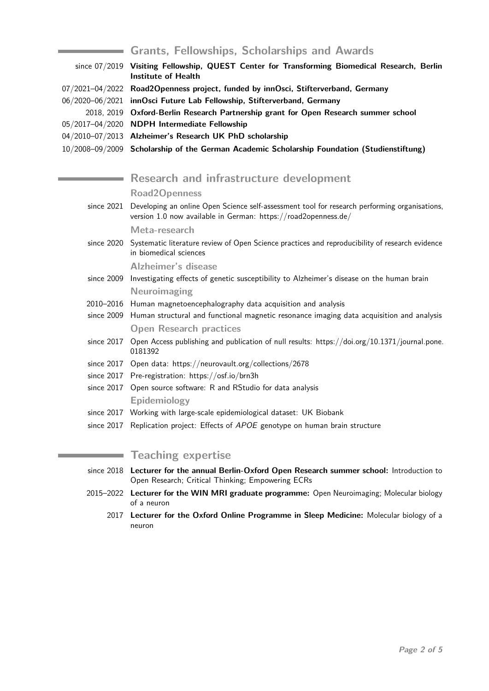| <b>Grants, Fellowships, Scholarships and Awards</b>                                                                 |
|---------------------------------------------------------------------------------------------------------------------|
| since 07/2019 Visiting Fellowship, QUEST Center for Transforming Biomedical Research, Berlin<br>Institute of Health |
| 07/2021-04/2022 Road2Openness project, funded by innOsci, Stifterverband, Germany                                   |
| 06/2020-06/2021 innOsci Future Lab Fellowship, Stifterverband, Germany                                              |
| 2018, 2019 Oxford-Berlin Research Partnership grant for Open Research summer school                                 |
| 05/2017-04/2020 NDPH Intermediate Fellowship                                                                        |
| 04/2010-07/2013 Alzheimer's Research UK PhD scholarship                                                             |
| 10/2008-09/2009 Scholarship of the German Academic Scholarship Foundation (Studienstiftung)                         |

## **Research and infrastructure development**

## **Road2Openness**

since 2021 Developing an online Open Science self-assessment tool for research performing organisations, version 1.0 now available in German:<https://road2openness.de/>

**Meta-research**

since 2020 Systematic literature review of Open Science practices and reproducibility of research evidence in biomedical sciences

**Alzheimer's disease**

- since 2009 Investigating effects of genetic susceptibility to Alzheimer's disease on the human brain **Neuroimaging**
- 2010–2016 Human magnetoencephalography data acquisition and analysis
- since 2009 Human structural and functional magnetic resonance imaging data acquisition and analysis **Open Research practices**
- since 2017 Open Access publishing and publication of null results: [https://doi.org/10.1371/journal.pone.](https://doi.org/10.1371/journal.pone.0181392) [0181392](https://doi.org/10.1371/journal.pone.0181392)
- since 2017 Open data:<https://neurovault.org/collections/2678>
- since 2017 Pre-registration:<https://osf.io/brn3h>
- since 2017 Open source software: R and RStudio for data analysis **Epidemiology**
- since 2017 Working with large-scale epidemiological dataset: UK Biobank
- since 2017 Replication project: Effects of APOE genotype on human brain structure

# **Teaching expertise**

 $\sim$ 

- since 2018 **Lecturer for the annual Berlin-Oxford Open Research summer school:** Introduction to Open Research; Critical Thinking; Empowering ECRs
- 2015–2022 **Lecturer for the WIN MRI graduate programme:** Open Neuroimaging; Molecular biology of a neuron
	- 2017 **Lecturer for the Oxford Online Programme in Sleep Medicine:** Molecular biology of a neuron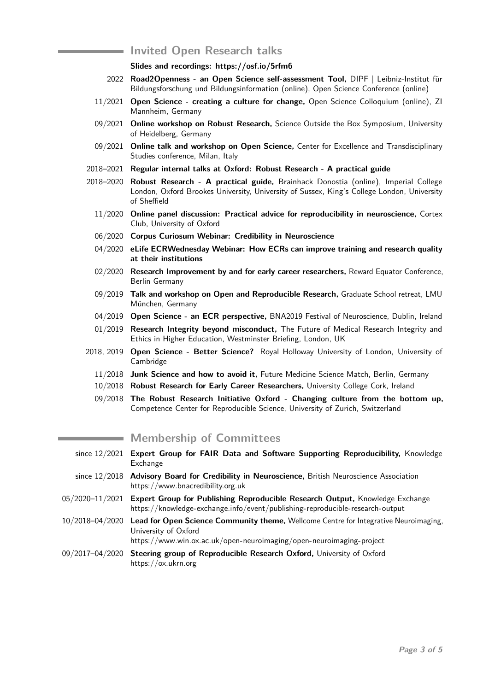# **Invited Open Research talks**

#### **Slides and recordings:<https://osf.io/5rfm6>**

- 2022 **Road2Openness an Open Science self-assessment Tool,** DIPF | Leibniz-Institut für Bildungsforschung und Bildungsinformation (online), Open Science Conference (online)
- 11/2021 **Open Science creating a culture for change,** Open Science Colloquium (online), ZI Mannheim, Germany
- 09/2021 **Online workshop on Robust Research,** Science Outside the Box Symposium, University of Heidelberg, Germany
- 09/2021 **Online talk and workshop on Open Science,** Center for Excellence and Transdisciplinary Studies conference, Milan, Italy
- 2018–2021 **Regular internal talks at Oxford: Robust Research A practical guide**
- 2018–2020 **Robust Research A practical guide,** Brainhack Donostia (online), Imperial College London, Oxford Brookes University, University of Sussex, King's College London, University of Sheffield
	- 11/2020 **Online panel discussion: Practical advice for reproducibility in neuroscience,** Cortex Club, University of Oxford
	- 06/2020 **Corpus Curiosum Webinar: Credibility in Neuroscience**
	- 04/2020 **eLife ECRWednesday Webinar: How ECRs can improve training and research quality at their institutions**
	- 02/2020 **Research Improvement by and for early career researchers,** Reward Equator Conference, Berlin Germany
	- 09/2019 **Talk and workshop on Open and Reproducible Research,** Graduate School retreat, LMU München, Germany
	- 04/2019 **Open Science an ECR perspective,** BNA2019 Festival of Neuroscience, Dublin, Ireland
	- 01/2019 **Research Integrity beyond misconduct,** The Future of Medical Research Integrity and Ethics in Higher Education, Westminster Briefing, London, UK
- 2018, 2019 **Open Science Better Science?** Royal Holloway University of London, University of Cambridge
	- 11/2018 **Junk Science and how to avoid it,** Future Medicine Science Match, Berlin, Germany
	- 10/2018 **Robust Research for Early Career Researchers,** University College Cork, Ireland
	- 09/2018 **The Robust Research Initiative Oxford Changing culture from the bottom up,** Competence Center for Reproducible Science, University of Zurich, Switzerland

## **Membership of Committees**

٠

- since 12/2021 **Expert Group for FAIR Data and Software Supporting Reproducibility,** Knowledge **Exchange**
- since 12/2018 **Advisory Board for Credibility in Neuroscience,** British Neuroscience Association <https://www.bnacredibility.org.uk>
- 05/2020–11/2021 **Expert Group for Publishing Reproducible Research Output,** Knowledge Exchange <https://knowledge-exchange.info/event/publishing-reproducible-research-output>
- 10/2018–04/2020 **Lead for Open Science Community theme,** Wellcome Centre for Integrative Neuroimaging, University of Oxford

<https://www.win.ox.ac.uk/open-neuroimaging/open-neuroimaging-project>

09/2017–04/2020 **Steering group of Reproducible Research Oxford,** University of Oxford <https://ox.ukrn.org>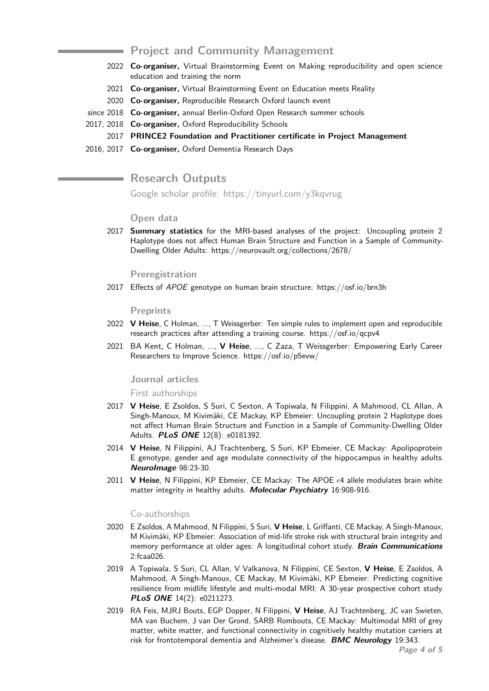**Project and Community Management**

- 2022 **Co-organiser,** Virtual Brainstorming Event on Making reproducibility and open science education and training the norm
- 2021 **Co-organiser,** Virtual Brainstorming Event on Education meets Reality
- 2020 **Co-organiser,** Reproducible Research Oxford launch event
- since 2018 **Co-organiser,** annual Berlin-Oxford Open Research summer schools
- 2017, 2018 **Co-organiser,** Oxford Reproducibility Schools
	- 2017 **PRINCE2 Foundation and Practitioner certificate in Project Management**
- 2016, 2017 **Co-organiser,** Oxford Dementia Research Days

# **Research Outputs**

Google scholar profile:<https://tinyurl.com/y3kqvrug>

#### **Open data**

2017 **Summary statistics** for the MRI-based analyses of the project: Uncoupling protein 2 Haplotype does not affect Human Brain Structure and Function in a Sample of Community-Dwelling Older Adults:<https://neurovault.org/collections/2678/>

#### **Preregistration**

2017 Effects of APOE genotype on human brain structure:<https://osf.io/brn3h>

#### **Preprints**

- 2022 **V Heise**, C Holman, ..., T Weissgerber: Ten simple rules to implement open and reproducible research practices after attending a training course.<https://osf.io/qcpv4>
- 2021 BA Kent, C Holman, ..., **V Heise**, ..., C Zaza, T Weissgerber: Empowering Early Career Researchers to Improve Science.<https://osf.io/p5evw/>

#### **Journal articles**

First authorships

- 2017 **V Heise**, E Zsoldos, S Suri, C Sexton, A Topiwala, N Filippini, A Mahmood, CL Allan, A Singh-Manoux, M Kivimäki, CE Mackay, KP Ebmeier: Uncoupling protein 2 Haplotype does not affect Human Brain Structure and Function in a Sample of Community-Dwelling Older Adults. **PLoS ONE** 12(8): e0181392.
- 2014 **V Heise**, N Filippini, AJ Trachtenberg, S Suri, KP Ebmeier, CE Mackay: Apolipoprotein E genotype, gender and age modulate connectivity of the hippocampus in healthy adults. **NeuroImage** 98:23-30.
- 2011 V Heise, N Filippini, KP Ebmeier, CE Mackay: The APOE  $\epsilon$ 4 allele modulates brain white matter integrity in healthy adults. **Molecular Psychiatry** 16:908-916.

#### Co-authorships

- 2020 E Zsoldos, A Mahmood, N Filippini, S Suri, **V Heise**, L Griffanti, CE Mackay, A Singh-Manoux, M Kivimäki, KP Ebmeier: Association of mid-life stroke risk with structural brain integrity and memory performance at older ages: A longitudinal cohort study. **Brain Communications** 2:fcaa026.
- 2019 A Topiwala, S Suri, CL Allan, V Valkanova, N Filippini, CE Sexton, **V Heise**, E Zsoldos, A Mahmood, A Singh-Manoux, CE Mackay, M Kivimäki, KP Ebmeier: Predicting cognitive resilience from midlife lifestyle and multi-modal MRI: A 30-year prospective cohort study. **PLoS ONE** 14(2): e0211273.
- 2019 RA Feis, MJRJ Bouts, EGP Dopper, N Filippini, **V Heise**, AJ Trachtenberg, JC van Swieten, MA van Buchem, J van Der Grond, SARB Rombouts, CE Mackay: Multimodal MRI of grey matter, white matter, and functional connectivity in cognitively healthy mutation carriers at risk for frontotemporal dementia and Alzheimer's disease. **BMC Neurology** 19:343.